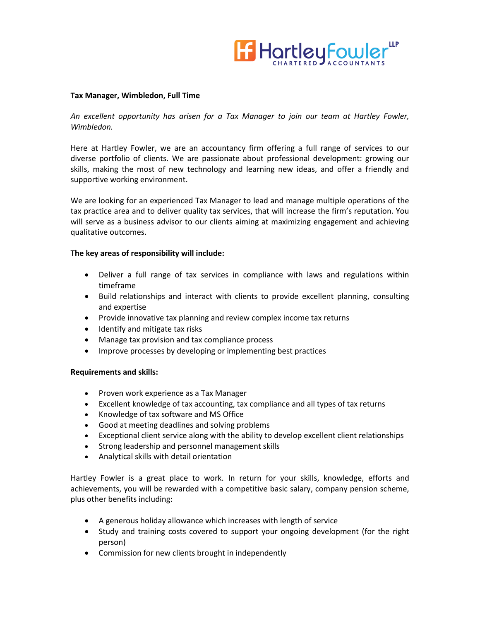

## **Tax Manager, Wimbledon, Full Time**

## *An excellent opportunity has arisen for a Tax Manager to join our team at Hartley Fowler, Wimbledon.*

Here at Hartley Fowler, we are an accountancy firm offering a full range of services to our diverse portfolio of clients. We are passionate about professional development: growing our skills, making the most of new technology and learning new ideas, and offer a friendly and supportive working environment.

We are looking for an experienced Tax Manager to lead and manage multiple operations of the tax practice area and to deliver quality tax services, that will increase the firm's reputation. You will serve as a business advisor to our clients aiming at maximizing engagement and achieving qualitative outcomes.

## **The key areas of responsibility will include:**

- Deliver a full range of tax services in compliance with laws and regulations within timeframe
- Build relationships and interact with clients to provide excellent planning, consulting and expertise
- Provide innovative tax planning and review complex income tax returns
- Identify and mitigate tax risks
- Manage tax provision and tax compliance process
- Improve processes by developing or implementing best practices

## **Requirements and skills:**

- Proven work experience as a Tax Manager
- Excellent knowledge of [tax accounting,](https://resources.workable.com/tax-accountant-job-description) tax compliance and all types of tax returns
- Knowledge of tax software and MS Office
- Good at meeting deadlines and solving problems
- Exceptional client service along with the ability to develop excellent client relationships
- Strong leadership and personnel management skills
- Analytical skills with detail orientation

Hartley Fowler is a great place to work. In return for your skills, knowledge, efforts and achievements, you will be rewarded with a competitive basic salary, company pension scheme, plus other benefits including:

- A generous holiday allowance which increases with length of service
- Study and training costs covered to support your ongoing development (for the right person)
- Commission for new clients brought in independently